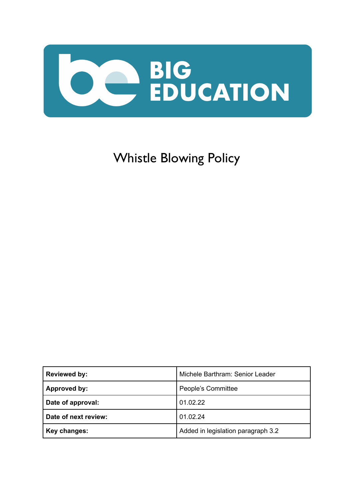

# Whistle Blowing Policy

| <b>Reviewed by:</b>  | Michele Barthram: Senior Leader    |
|----------------------|------------------------------------|
| Approved by:         | People's Committee                 |
| Date of approval:    | 01.02.22                           |
| Date of next review: | 01.02.24                           |
| Key changes:         | Added in legislation paragraph 3.2 |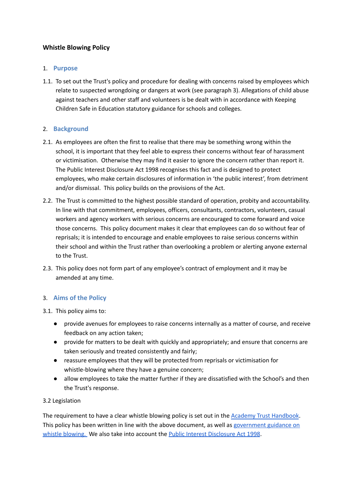# **Whistle Blowing Policy**

## 1. **Purpose**

1.1. To set out the Trust's policy and procedure for dealing with concerns raised by employees which relate to suspected wrongdoing or dangers at work (see paragraph 3). Allegations of child abuse against teachers and other staff and volunteers is be dealt with in accordance with Keeping Children Safe in Education statutory guidance for schools and colleges.

## 2. **Background**

- 2.1. As employees are often the first to realise that there may be something wrong within the school, it is important that they feel able to express their concerns without fear of harassment or victimisation. Otherwise they may find it easier to ignore the concern rather than report it. The Public Interest Disclosure Act 1998 recognises this fact and is designed to protect employees, who make certain disclosures of information in 'the public interest', from detriment and/or dismissal. This policy builds on the provisions of the Act.
- 2.2. The Trust is committed to the highest possible standard of operation, probity and accountability. In line with that commitment, employees, officers, consultants, contractors, volunteers, casual workers and agency workers with serious concerns are encouraged to come forward and voice those concerns. This policy document makes it clear that employees can do so without fear of reprisals; it is intended to encourage and enable employees to raise serious concerns within their school and within the Trust rather than overlooking a problem or alerting anyone external to the Trust.
- 2.3. This policy does not form part of any employee's contract of employment and it may be amended at any time.

## 3. **Aims of the Policy**

3.1. This policy aims to:

- provide avenues for employees to raise concerns internally as a matter of course, and receive feedback on any action taken;
- provide for matters to be dealt with quickly and appropriately; and ensure that concerns are taken seriously and treated consistently and fairly;
- reassure employees that they will be protected from reprisals or victimisation for whistle-blowing where they have a genuine concern;
- allow employees to take the matter further if they are dissatisfied with the School's and then the Trust's response.

## 3.2 Legislation

The requirement to have a clear whistle blowing policy is set out in the Academy Trust [Handbook](https://www.gov.uk/guidance/academy-trust-handbook). This policy has been written in line with the above document, as well as [government](https://www.gov.uk/whistleblowing) guidance on whistle [blowing.](https://www.gov.uk/whistleblowing) We also take into account the Public Interest [Disclosure](https://www.legislation.gov.uk/ukpga/1998/23/contents) Act 1998.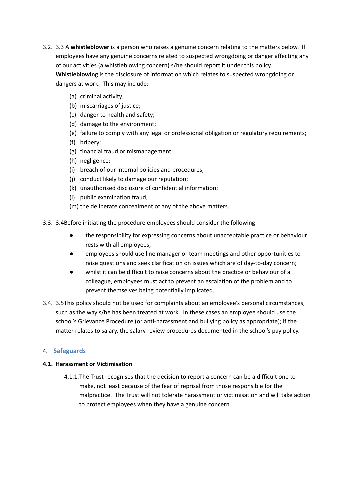- 3.2. 3.3 A **whistleblower** is a person who raises a genuine concern relating to the matters below. If employees have any genuine concerns related to suspected wrongdoing or danger affecting any of our activities (a whistleblowing concern) s/he should report it under this policy. **Whistleblowing** is the disclosure of information which relates to suspected wrongdoing or dangers at work. This may include:
	- (a) criminal activity;
	- (b) miscarriages of justice;
	- (c) danger to health and safety;
	- (d) damage to the environment;
	- (e) failure to comply with any legal or professional obligation or regulatory requirements;
	- (f) bribery;
	- (g) financial fraud or mismanagement;
	- (h) negligence;
	- (i) breach of our internal policies and procedures;
	- (j) conduct likely to damage our reputation;
	- (k) unauthorised disclosure of confidential information;
	- (l) public examination fraud;
	- (m) the deliberate concealment of any of the above matters.

3.3. 3.4Before initiating the procedure employees should consider the following:

- the responsibility for expressing concerns about unacceptable practice or behaviour rests with all employees;
- employees should use line manager or team meetings and other opportunities to raise questions and seek clarification on issues which are of day-to-day concern;
- whilst it can be difficult to raise concerns about the practice or behaviour of a colleague, employees must act to prevent an escalation of the problem and to prevent themselves being potentially implicated.
- 3.4. 3.5This policy should not be used for complaints about an employee's personal circumstances, such as the way s/he has been treated at work. In these cases an employee should use the school's Grievance Procedure (or anti-harassment and bullying policy as appropriate); if the matter relates to salary, the salary review procedures documented in the school's pay policy.

#### 4. **Safeguards**

#### **4.1. Harassment or Victimisation**

4.1.1.The Trust recognises that the decision to report a concern can be a difficult one to make, not least because of the fear of reprisal from those responsible for the malpractice. The Trust will not tolerate harassment or victimisation and will take action to protect employees when they have a genuine concern.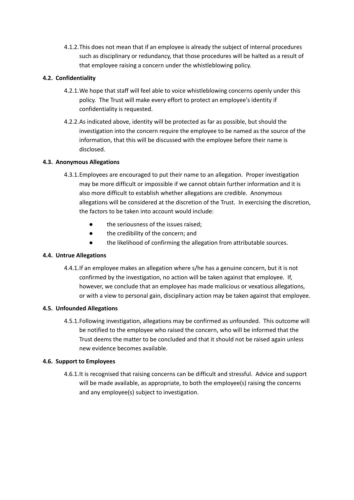4.1.2.This does not mean that if an employee is already the subject of internal procedures such as disciplinary or redundancy, that those procedures will be halted as a result of that employee raising a concern under the whistleblowing policy.

## **4.2. Confidentiality**

- 4.2.1.We hope that staff will feel able to voice whistleblowing concerns openly under this policy. The Trust will make every effort to protect an employee's identity if confidentiality is requested.
- 4.2.2.As indicated above, identity will be protected as far as possible, but should the investigation into the concern require the employee to be named as the source of the information, that this will be discussed with the employee before their name is disclosed.

### **4.3. Anonymous Allegations**

- 4.3.1.Employees are encouraged to put their name to an allegation. Proper investigation may be more difficult or impossible if we cannot obtain further information and it is also more difficult to establish whether allegations are credible. Anonymous allegations will be considered at the discretion of the Trust. In exercising the discretion, the factors to be taken into account would include:
	- the seriousness of the issues raised:
	- the credibility of the concern; and
	- the likelihood of confirming the allegation from attributable sources.

#### **4.4. Untrue Allegations**

4.4.1.If an employee makes an allegation where s/he has a genuine concern, but it is not confirmed by the investigation, no action will be taken against that employee. If, however, we conclude that an employee has made malicious or vexatious allegations, or with a view to personal gain, disciplinary action may be taken against that employee.

#### **4.5. Unfounded Allegations**

4.5.1.Following investigation, allegations may be confirmed as unfounded. This outcome will be notified to the employee who raised the concern, who will be informed that the Trust deems the matter to be concluded and that it should not be raised again unless new evidence becomes available.

#### **4.6. Support to Employees**

4.6.1.It is recognised that raising concerns can be difficult and stressful. Advice and support will be made available, as appropriate, to both the employee(s) raising the concerns and any employee(s) subject to investigation.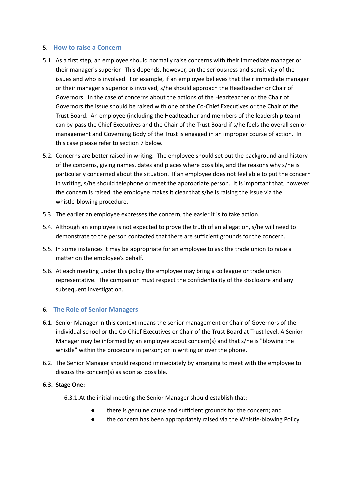#### 5. **How to raise a Concern**

- 5.1. As a first step, an employee should normally raise concerns with their immediate manager or their manager's superior. This depends, however, on the seriousness and sensitivity of the issues and who is involved. For example, if an employee believes that their immediate manager or their manager's superior is involved, s/he should approach the Headteacher or Chair of Governors. In the case of concerns about the actions of the Headteacher or the Chair of Governors the issue should be raised with one of the Co-Chief Executives or the Chair of the Trust Board. An employee (including the Headteacher and members of the leadership team) can by-pass the Chief Executives and the Chair of the Trust Board if s/he feels the overall senior management and Governing Body of the Trust is engaged in an improper course of action. In this case please refer to section 7 below.
- 5.2. Concerns are better raised in writing. The employee should set out the background and history of the concerns, giving names, dates and places where possible, and the reasons why s/he is particularly concerned about the situation. If an employee does not feel able to put the concern in writing, s/he should telephone or meet the appropriate person. It is important that, however the concern is raised, the employee makes it clear that s/he is raising the issue via the whistle-blowing procedure.
- 5.3. The earlier an employee expresses the concern, the easier it is to take action.
- 5.4. Although an employee is not expected to prove the truth of an allegation, s/he will need to demonstrate to the person contacted that there are sufficient grounds for the concern.
- 5.5. In some instances it may be appropriate for an employee to ask the trade union to raise a matter on the employee's behalf.
- 5.6. At each meeting under this policy the employee may bring a colleague or trade union representative. The companion must respect the confidentiality of the disclosure and any subsequent investigation.

## 6. **The Role of Senior Managers**

- 6.1. Senior Manager in this context means the senior management or Chair of Governors of the individual school or the Co-Chief Executives or Chair of the Trust Board at Trust level. A Senior Manager may be informed by an employee about concern(s) and that s/he is "blowing the whistle" within the procedure in person; or in writing or over the phone.
- 6.2. The Senior Manager should respond immediately by arranging to meet with the employee to discuss the concern(s) as soon as possible.

#### **6.3. Stage One:**

- 6.3.1.At the initial meeting the Senior Manager should establish that:
	- there is genuine cause and sufficient grounds for the concern; and
	- the concern has been appropriately raised via the Whistle-blowing Policy.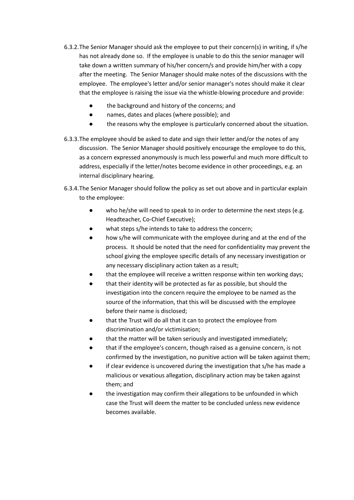- 6.3.2.The Senior Manager should ask the employee to put their concern(s) in writing, if s/he has not already done so. If the employee is unable to do this the senior manager will take down a written summary of his/her concern/s and provide him/her with a copy after the meeting. The Senior Manager should make notes of the discussions with the employee. The employee's letter and/or senior manager's notes should make it clear that the employee is raising the issue via the whistle-blowing procedure and provide:
	- the background and history of the concerns; and
	- names, dates and places (where possible); and
	- the reasons why the employee is particularly concerned about the situation.
- 6.3.3.The employee should be asked to date and sign their letter and/or the notes of any discussion. The Senior Manager should positively encourage the employee to do this, as a concern expressed anonymously is much less powerful and much more difficult to address, especially if the letter/notes become evidence in other proceedings, e.g. an internal disciplinary hearing.
- 6.3.4.The Senior Manager should follow the policy as set out above and in particular explain to the employee:
	- who he/she will need to speak to in order to determine the next steps (e.g. Headteacher, Co-Chief Executive);
	- what steps s/he intends to take to address the concern;
	- how s/he will communicate with the employee during and at the end of the process. It should be noted that the need for confidentiality may prevent the school giving the employee specific details of any necessary investigation or any necessary disciplinary action taken as a result;
	- that the employee will receive a written response within ten working days;
	- that their identity will be protected as far as possible, but should the investigation into the concern require the employee to be named as the source of the information, that this will be discussed with the employee before their name is disclosed;
	- that the Trust will do all that it can to protect the employee from discrimination and/or victimisation;
	- that the matter will be taken seriously and investigated immediately;
	- that if the employee's concern, though raised as a genuine concern, is not confirmed by the investigation, no punitive action will be taken against them;
	- if clear evidence is uncovered during the investigation that s/he has made a malicious or vexatious allegation, disciplinary action may be taken against them; and
	- the investigation may confirm their allegations to be unfounded in which case the Trust will deem the matter to be concluded unless new evidence becomes available.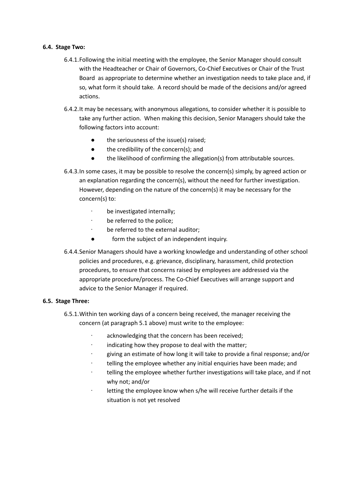#### **6.4. Stage Two:**

- 6.4.1.Following the initial meeting with the employee, the Senior Manager should consult with the Headteacher or Chair of Governors, Co-Chief Executives or Chair of the Trust Board as appropriate to determine whether an investigation needs to take place and, if so, what form it should take. A record should be made of the decisions and/or agreed actions.
- 6.4.2.It may be necessary, with anonymous allegations, to consider whether it is possible to take any further action. When making this decision, Senior Managers should take the following factors into account:
	- the seriousness of the issue(s) raised;
	- the credibility of the concern(s); and
	- the likelihood of confirming the allegation(s) from attributable sources.
- 6.4.3.In some cases, it may be possible to resolve the concern(s) simply, by agreed action or an explanation regarding the concern(s), without the need for further investigation. However, depending on the nature of the concern(s) it may be necessary for the concern(s) to:
	- ∙ be investigated internally;
	- ∙ be referred to the police;
	- ∙ be referred to the external auditor;
	- form the subject of an independent inquiry.
- 6.4.4.Senior Managers should have a working knowledge and understanding of other school policies and procedures, e.g. grievance, disciplinary, harassment, child protection procedures, to ensure that concerns raised by employees are addressed via the appropriate procedure/process. The Co-Chief Executives will arrange support and advice to the Senior Manager if required.

#### **6.5. Stage Three:**

- 6.5.1.Within ten working days of a concern being received, the manager receiving the concern (at paragraph 5.1 above) must write to the employee:
	- ∙ acknowledging that the concern has been received;
	- ∙ indicating how they propose to deal with the matter;
	- ∙ giving an estimate of how long it will take to provide a final response; and/or
	- ∙ telling the employee whether any initial enquiries have been made; and
	- ∙ telling the employee whether further investigations will take place, and if not why not; and/or
	- ∙ letting the employee know when s/he will receive further details if the situation is not yet resolved